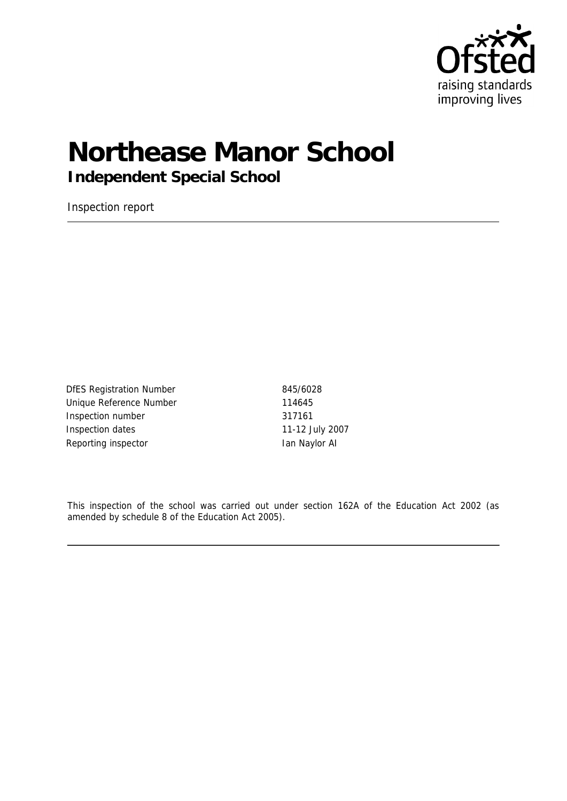

# **Northease Manor School**

**Independent Special School**

Inspection report

DfES Registration Number 845/6028 Unique Reference Number 114645 Inspection number 317161 Inspection dates 11-12 July 2007 Reporting inspector **Ian Naylor AI** 

This inspection of the school was carried out under section 162A of the Education Act 2002 (as amended by schedule 8 of the Education Act 2005).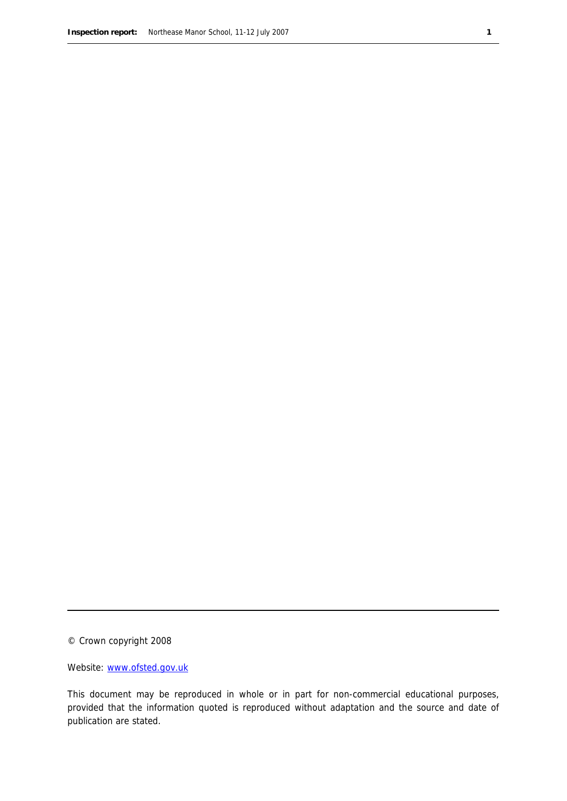© Crown copyright 2008

Website: www.ofsted.gov.uk

This document may be reproduced in whole or in part for non-commercial educational purposes, provided that the information quoted is reproduced without adaptation and the source and date of publication are stated.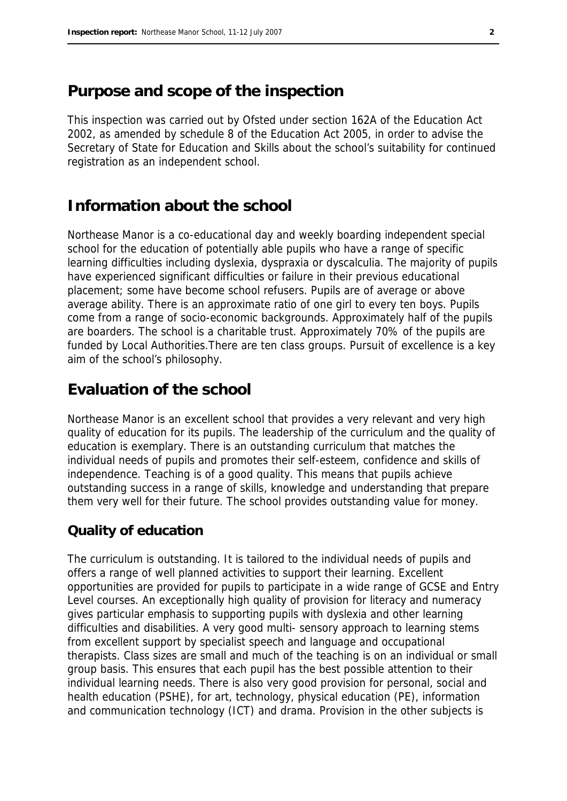### **Purpose and scope of the inspection**

This inspection was carried out by Ofsted under section 162A of the Education Act 2002, as amended by schedule 8 of the Education Act 2005, in order to advise the Secretary of State for Education and Skills about the school's suitability for continued registration as an independent school.

## **Information about the school**

Northease Manor is a co-educational day and weekly boarding independent special school for the education of potentially able pupils who have a range of specific learning difficulties including dyslexia, dyspraxia or dyscalculia. The majority of pupils have experienced significant difficulties or failure in their previous educational placement; some have become school refusers. Pupils are of average or above average ability. There is an approximate ratio of one girl to every ten boys. Pupils come from a range of socio-economic backgrounds. Approximately half of the pupils are boarders. The school is a charitable trust. Approximately 70% of the pupils are funded by Local Authorities.There are ten class groups. Pursuit of excellence is a key aim of the school's philosophy.

## **Evaluation of the school**

Northease Manor is an excellent school that provides a very relevant and very high quality of education for its pupils. The leadership of the curriculum and the quality of education is exemplary. There is an outstanding curriculum that matches the individual needs of pupils and promotes their self-esteem, confidence and skills of independence. Teaching is of a good quality. This means that pupils achieve outstanding success in a range of skills, knowledge and understanding that prepare them very well for their future. The school provides outstanding value for money.

#### **Quality of education**

The curriculum is outstanding. It is tailored to the individual needs of pupils and offers a range of well planned activities to support their learning. Excellent opportunities are provided for pupils to participate in a wide range of GCSE and Entry Level courses. An exceptionally high quality of provision for literacy and numeracy gives particular emphasis to supporting pupils with dyslexia and other learning difficulties and disabilities. A very good multi- sensory approach to learning stems from excellent support by specialist speech and language and occupational therapists. Class sizes are small and much of the teaching is on an individual or small group basis. This ensures that each pupil has the best possible attention to their individual learning needs. There is also very good provision for personal, social and health education (PSHE), for art, technology, physical education (PE), information and communication technology (ICT) and drama. Provision in the other subjects is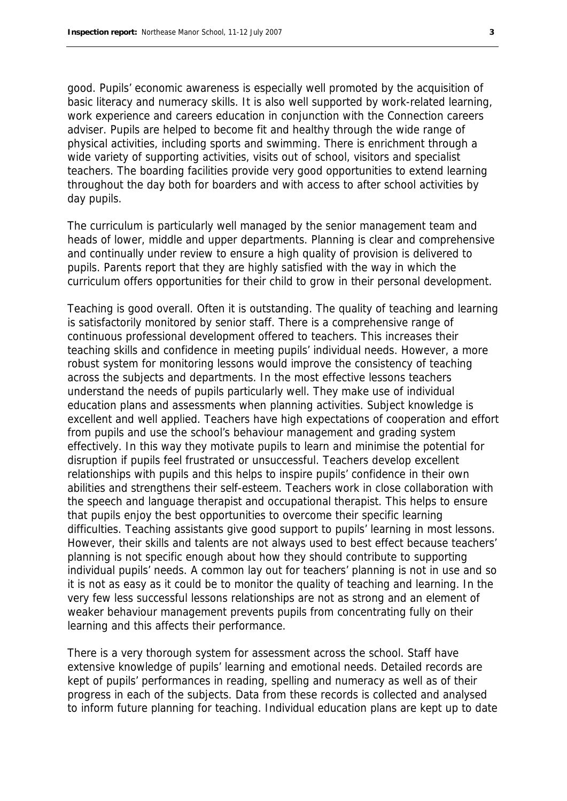good. Pupils' economic awareness is especially well promoted by the acquisition of basic literacy and numeracy skills. It is also well supported by work-related learning, work experience and careers education in conjunction with the Connection careers adviser. Pupils are helped to become fit and healthy through the wide range of physical activities, including sports and swimming. There is enrichment through a wide variety of supporting activities, visits out of school, visitors and specialist teachers. The boarding facilities provide very good opportunities to extend learning throughout the day both for boarders and with access to after school activities by day pupils.

The curriculum is particularly well managed by the senior management team and heads of lower, middle and upper departments. Planning is clear and comprehensive and continually under review to ensure a high quality of provision is delivered to pupils. Parents report that they are highly satisfied with the way in which the curriculum offers opportunities for their child to grow in their personal development.

Teaching is good overall. Often it is outstanding. The quality of teaching and learning is satisfactorily monitored by senior staff. There is a comprehensive range of continuous professional development offered to teachers. This increases their teaching skills and confidence in meeting pupils' individual needs. However, a more robust system for monitoring lessons would improve the consistency of teaching across the subjects and departments. In the most effective lessons teachers understand the needs of pupils particularly well. They make use of individual education plans and assessments when planning activities. Subject knowledge is excellent and well applied. Teachers have high expectations of cooperation and effort from pupils and use the school's behaviour management and grading system effectively. In this way they motivate pupils to learn and minimise the potential for disruption if pupils feel frustrated or unsuccessful. Teachers develop excellent relationships with pupils and this helps to inspire pupils' confidence in their own abilities and strengthens their self-esteem. Teachers work in close collaboration with the speech and language therapist and occupational therapist. This helps to ensure that pupils enjoy the best opportunities to overcome their specific learning difficulties. Teaching assistants give good support to pupils' learning in most lessons. However, their skills and talents are not always used to best effect because teachers' planning is not specific enough about how they should contribute to supporting individual pupils' needs. A common lay out for teachers' planning is not in use and so it is not as easy as it could be to monitor the quality of teaching and learning. In the very few less successful lessons relationships are not as strong and an element of weaker behaviour management prevents pupils from concentrating fully on their learning and this affects their performance.

There is a very thorough system for assessment across the school. Staff have extensive knowledge of pupils' learning and emotional needs. Detailed records are kept of pupils' performances in reading, spelling and numeracy as well as of their progress in each of the subjects. Data from these records is collected and analysed to inform future planning for teaching. Individual education plans are kept up to date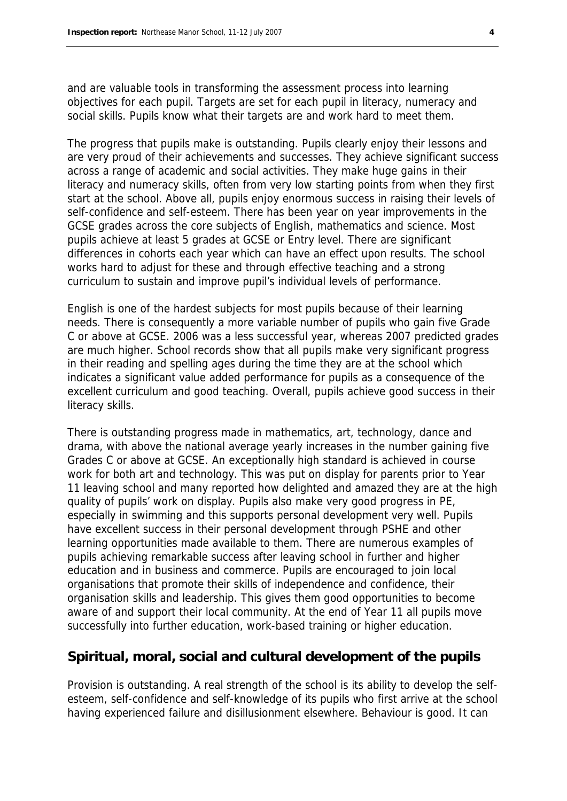and are valuable tools in transforming the assessment process into learning objectives for each pupil. Targets are set for each pupil in literacy, numeracy and social skills. Pupils know what their targets are and work hard to meet them.

The progress that pupils make is outstanding. Pupils clearly enjoy their lessons and are very proud of their achievements and successes. They achieve significant success across a range of academic and social activities. They make huge gains in their literacy and numeracy skills, often from very low starting points from when they first start at the school. Above all, pupils enjoy enormous success in raising their levels of self-confidence and self-esteem. There has been year on year improvements in the GCSE grades across the core subjects of English, mathematics and science. Most pupils achieve at least 5 grades at GCSE or Entry level. There are significant differences in cohorts each year which can have an effect upon results. The school works hard to adjust for these and through effective teaching and a strong curriculum to sustain and improve pupil's individual levels of performance.

English is one of the hardest subjects for most pupils because of their learning needs. There is consequently a more variable number of pupils who gain five Grade C or above at GCSE. 2006 was a less successful year, whereas 2007 predicted grades are much higher. School records show that all pupils make very significant progress in their reading and spelling ages during the time they are at the school which indicates a significant value added performance for pupils as a consequence of the excellent curriculum and good teaching. Overall, pupils achieve good success in their literacy skills.

There is outstanding progress made in mathematics, art, technology, dance and drama, with above the national average yearly increases in the number gaining five Grades C or above at GCSE. An exceptionally high standard is achieved in course work for both art and technology. This was put on display for parents prior to Year 11 leaving school and many reported how delighted and amazed they are at the high quality of pupils' work on display. Pupils also make very good progress in PE, especially in swimming and this supports personal development very well. Pupils have excellent success in their personal development through PSHE and other learning opportunities made available to them. There are numerous examples of pupils achieving remarkable success after leaving school in further and higher education and in business and commerce. Pupils are encouraged to join local organisations that promote their skills of independence and confidence, their organisation skills and leadership. This gives them good opportunities to become aware of and support their local community. At the end of Year 11 all pupils move successfully into further education, work-based training or higher education.

#### **Spiritual, moral, social and cultural development of the pupils**

Provision is outstanding. A real strength of the school is its ability to develop the selfesteem, self-confidence and self-knowledge of its pupils who first arrive at the school having experienced failure and disillusionment elsewhere. Behaviour is good. It can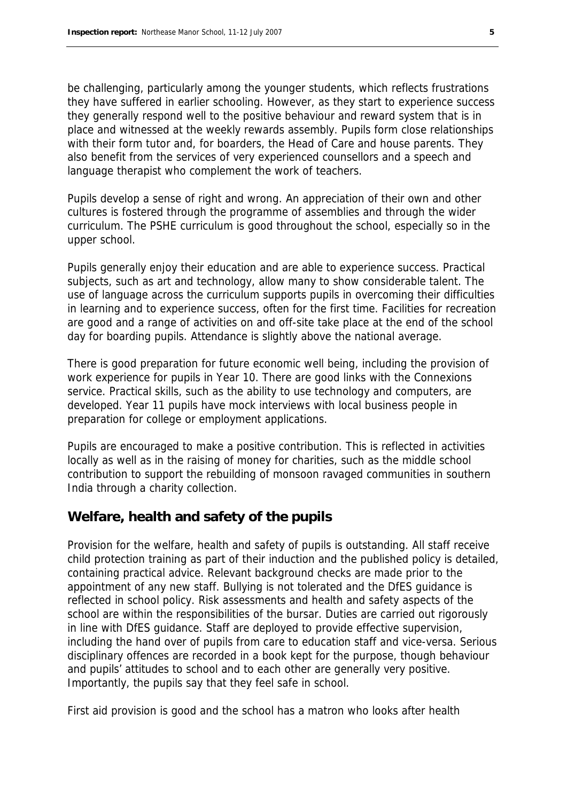be challenging, particularly among the younger students, which reflects frustrations they have suffered in earlier schooling. However, as they start to experience success they generally respond well to the positive behaviour and reward system that is in place and witnessed at the weekly rewards assembly. Pupils form close relationships with their form tutor and, for boarders, the Head of Care and house parents. They also benefit from the services of very experienced counsellors and a speech and language therapist who complement the work of teachers.

Pupils develop a sense of right and wrong. An appreciation of their own and other cultures is fostered through the programme of assemblies and through the wider curriculum. The PSHE curriculum is good throughout the school, especially so in the upper school.

Pupils generally enjoy their education and are able to experience success. Practical subjects, such as art and technology, allow many to show considerable talent. The use of language across the curriculum supports pupils in overcoming their difficulties in learning and to experience success, often for the first time. Facilities for recreation are good and a range of activities on and off-site take place at the end of the school day for boarding pupils. Attendance is slightly above the national average.

There is good preparation for future economic well being, including the provision of work experience for pupils in Year 10. There are good links with the Connexions service. Practical skills, such as the ability to use technology and computers, are developed. Year 11 pupils have mock interviews with local business people in preparation for college or employment applications.

Pupils are encouraged to make a positive contribution. This is reflected in activities locally as well as in the raising of money for charities, such as the middle school contribution to support the rebuilding of monsoon ravaged communities in southern India through a charity collection.

#### **Welfare, health and safety of the pupils**

Provision for the welfare, health and safety of pupils is outstanding. All staff receive child protection training as part of their induction and the published policy is detailed, containing practical advice. Relevant background checks are made prior to the appointment of any new staff. Bullying is not tolerated and the DfES guidance is reflected in school policy. Risk assessments and health and safety aspects of the school are within the responsibilities of the bursar. Duties are carried out rigorously in line with DfES guidance. Staff are deployed to provide effective supervision, including the hand over of pupils from care to education staff and vice-versa. Serious disciplinary offences are recorded in a book kept for the purpose, though behaviour and pupils' attitudes to school and to each other are generally very positive. Importantly, the pupils say that they feel safe in school.

First aid provision is good and the school has a matron who looks after health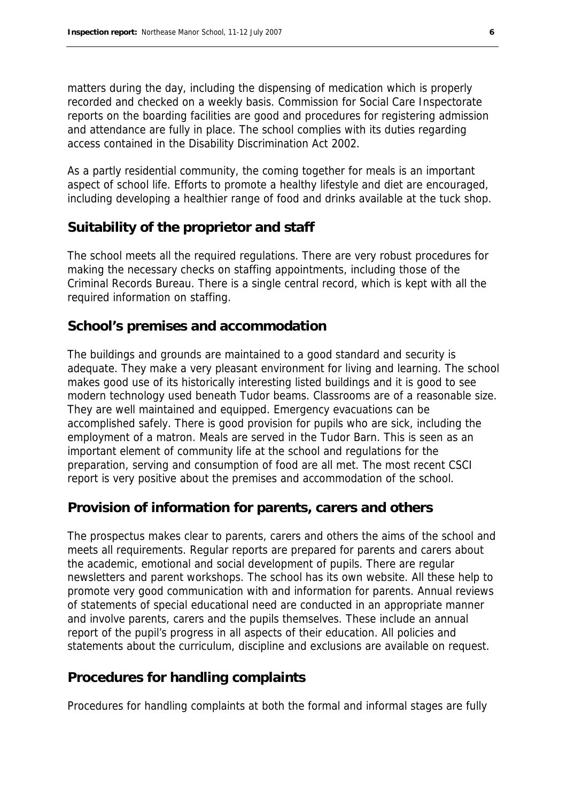matters during the day, including the dispensing of medication which is properly recorded and checked on a weekly basis. Commission for Social Care Inspectorate reports on the boarding facilities are good and procedures for registering admission and attendance are fully in place. The school complies with its duties regarding access contained in the Disability Discrimination Act 2002.

As a partly residential community, the coming together for meals is an important aspect of school life. Efforts to promote a healthy lifestyle and diet are encouraged, including developing a healthier range of food and drinks available at the tuck shop.

#### **Suitability of the proprietor and staff**

The school meets all the required regulations. There are very robust procedures for making the necessary checks on staffing appointments, including those of the Criminal Records Bureau. There is a single central record, which is kept with all the required information on staffing.

#### **School's premises and accommodation**

The buildings and grounds are maintained to a good standard and security is adequate. They make a very pleasant environment for living and learning. The school makes good use of its historically interesting listed buildings and it is good to see modern technology used beneath Tudor beams. Classrooms are of a reasonable size. They are well maintained and equipped. Emergency evacuations can be accomplished safely. There is good provision for pupils who are sick, including the employment of a matron. Meals are served in the Tudor Barn. This is seen as an important element of community life at the school and regulations for the preparation, serving and consumption of food are all met. The most recent CSCI report is very positive about the premises and accommodation of the school.

#### **Provision of information for parents, carers and others**

The prospectus makes clear to parents, carers and others the aims of the school and meets all requirements. Regular reports are prepared for parents and carers about the academic, emotional and social development of pupils. There are regular newsletters and parent workshops. The school has its own website. All these help to promote very good communication with and information for parents. Annual reviews of statements of special educational need are conducted in an appropriate manner and involve parents, carers and the pupils themselves. These include an annual report of the pupil's progress in all aspects of their education. All policies and statements about the curriculum, discipline and exclusions are available on request.

#### **Procedures for handling complaints**

Procedures for handling complaints at both the formal and informal stages are fully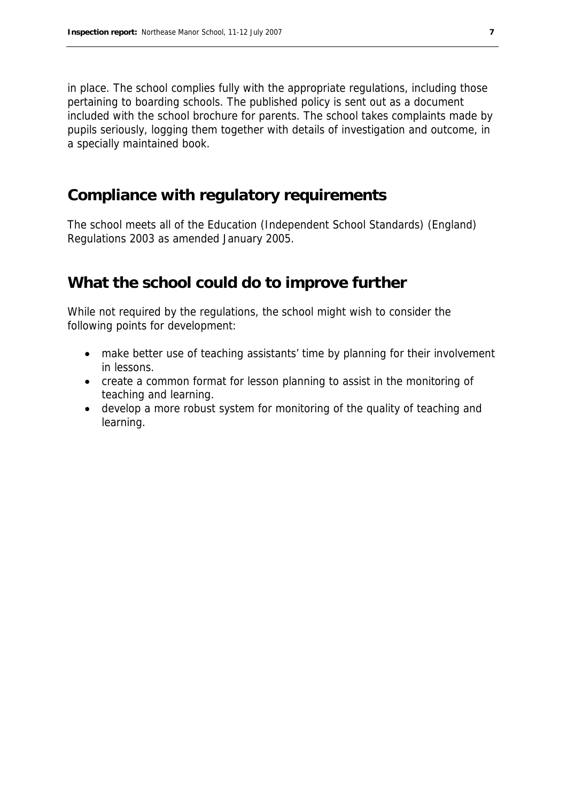in place. The school complies fully with the appropriate regulations, including those pertaining to boarding schools. The published policy is sent out as a document included with the school brochure for parents. The school takes complaints made by pupils seriously, logging them together with details of investigation and outcome, in a specially maintained book.

# **Compliance with regulatory requirements**

The school meets all of the Education (Independent School Standards) (England) Regulations 2003 as amended January 2005.

## **What the school could do to improve further**

While not required by the regulations, the school might wish to consider the following points for development:

- make better use of teaching assistants' time by planning for their involvement in lessons.
- create a common format for lesson planning to assist in the monitoring of teaching and learning.
- develop a more robust system for monitoring of the quality of teaching and learning.